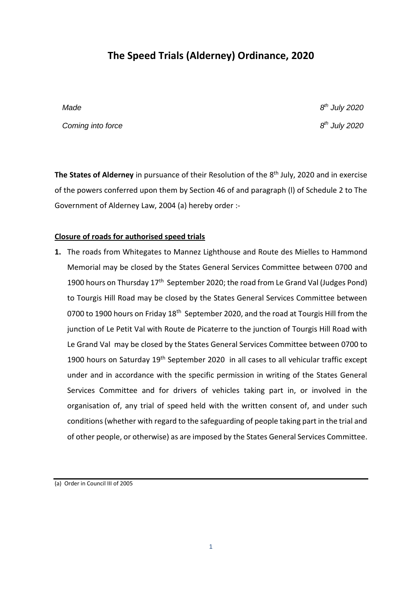# **The Speed Trials (Alderney) Ordinance, 2020**

*Made 8*

*Coming into force* 

*th July 2020 th July 2020*

The States of Alderney in pursuance of their Resolution of the 8<sup>th</sup> July, 2020 and in exercise of the powers conferred upon them by Section 46 of and paragraph (l) of Schedule 2 to The Government of Alderney Law, 2004 (a) hereby order :-

## **Closure of roads for authorised speed trials**

**1.** The roads from Whitegates to Mannez Lighthouse and Route des Mielles to Hammond Memorial may be closed by the States General Services Committee between 0700 and 1900 hours on Thursday 17<sup>th</sup> September 2020; the road from Le Grand Val (Judges Pond) to Tourgis Hill Road may be closed by the States General Services Committee between 0700 to 1900 hours on Friday 18<sup>th</sup> September 2020, and the road at Tourgis Hill from the junction of Le Petit Val with Route de Picaterre to the junction of Tourgis Hill Road with Le Grand Val may be closed by the States General Services Committee between 0700 to 1900 hours on Saturday 19<sup>th</sup> September 2020 in all cases to all vehicular traffic except under and in accordance with the specific permission in writing of the States General Services Committee and for drivers of vehicles taking part in, or involved in the organisation of, any trial of speed held with the written consent of, and under such conditions (whether with regard to the safeguarding of people taking part in the trial and of other people, or otherwise) as are imposed by the States General Services Committee.

(a) Order in Council III of 2005